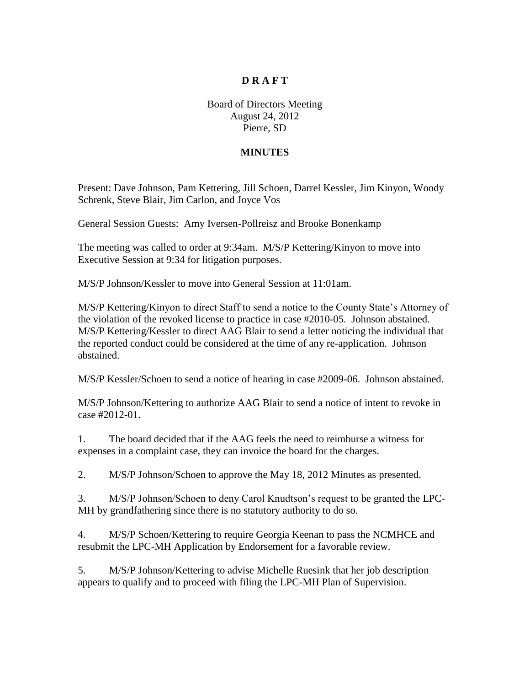## **D R A F T**

Board of Directors Meeting August 24, 2012 Pierre, SD

## **MINUTES**

Present: Dave Johnson, Pam Kettering, Jill Schoen, Darrel Kessler, Jim Kinyon, Woody Schrenk, Steve Blair, Jim Carlon, and Joyce Vos

General Session Guests: Amy Iversen-Pollreisz and Brooke Bonenkamp

The meeting was called to order at 9:34am. M/S/P Kettering/Kinyon to move into Executive Session at 9:34 for litigation purposes.

M/S/P Johnson/Kessler to move into General Session at 11:01am.

M/S/P Kettering/Kinyon to direct Staff to send a notice to the County State's Attorney of the violation of the revoked license to practice in case #2010-05. Johnson abstained. M/S/P Kettering/Kessler to direct AAG Blair to send a letter noticing the individual that the reported conduct could be considered at the time of any re-application. Johnson abstained.

M/S/P Kessler/Schoen to send a notice of hearing in case #2009-06. Johnson abstained.

M/S/P Johnson/Kettering to authorize AAG Blair to send a notice of intent to revoke in case #2012-01.

1. The board decided that if the AAG feels the need to reimburse a witness for expenses in a complaint case, they can invoice the board for the charges.

2. M/S/P Johnson/Schoen to approve the May 18, 2012 Minutes as presented.

3. M/S/P Johnson/Schoen to deny Carol Knudtson's request to be granted the LPC-MH by grandfathering since there is no statutory authority to do so.

4. M/S/P Schoen/Kettering to require Georgia Keenan to pass the NCMHCE and resubmit the LPC-MH Application by Endorsement for a favorable review.

5. M/S/P Johnson/Kettering to advise Michelle Ruesink that her job description appears to qualify and to proceed with filing the LPC-MH Plan of Supervision.